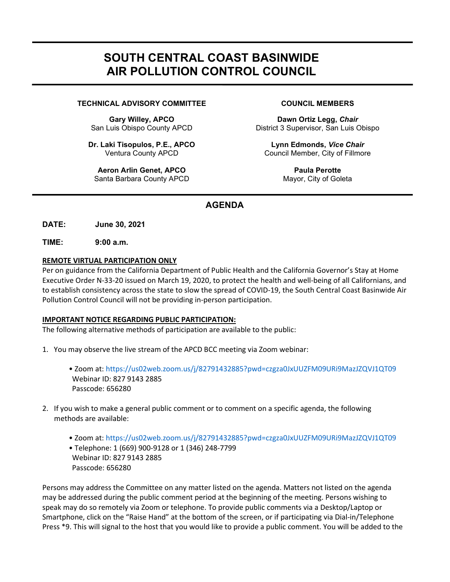# SOUTH CENTRAL COAST BASINWIDE AIR POLLUTION CONTROL COUNCIL

## TECHNICAL ADVISORY COMMITTEE COUNCIL MEMBERS

Gary Willey, APCO San Luis Obispo County APCD

Dr. Laki Tisopulos, P.E., APCO Ventura County APCD

Aeron Arlin Genet, APCO Santa Barbara County APCD

Dawn Ortiz Legg, Chair District 3 Supervisor, San Luis Obispo

Lynn Edmonds, Vice Chair Council Member, City of Fillmore

> Paula Perotte Mayor, City of Goleta

# AGENDA

DATE: June 30, 2021

TIME: 9:00 a.m.

٦

### REMOTE VIRTUAL PARTICIPATION ONLY

Per on guidance from the California Department of Public Health and the California Governor's Stay at Home Executive Order N-33-20 issued on March 19, 2020, to protect the health and well-being of all Californians, and to establish consistency across the state to slow the spread of COVID-19, the South Central Coast Basinwide Air Pollution Control Council will not be providing in-person participation.

# IMPORTANT NOTICE REGARDING PUBLIC PARTICIPATION:

The following alternative methods of participation are available to the public:

- 1. You may observe the live stream of the APCD BCC meeting via Zoom webinar:
	- Zoom at: https://us02web.zoom.us/j/82791432885?pwd=czgza0JxUUZFM09URi9MazJZQVJ1QT09 Webinar ID: 827 9143 2885 Passcode: 656280
- 2. If you wish to make a general public comment or to comment on a specific agenda, the following methods are available:
	- Zoom at: https://us02web.zoom.us/j/82791432885?pwd=czgza0JxUUZFM09URi9MazJZQVJ1QT09
	- Telephone: 1 (669) 900-9128 or 1 (346) 248-7799 Webinar ID: 827 9143 2885 Passcode: 656280

Persons may address the Committee on any matter listed on the agenda. Matters not listed on the agenda may be addressed during the public comment period at the beginning of the meeting. Persons wishing to speak may do so remotely via Zoom or telephone. To provide public comments via a Desktop/Laptop or Smartphone, click on the "Raise Hand" at the bottom of the screen, or if participating via Dial-in/Telephone Press \*9. This will signal to the host that you would like to provide a public comment. You will be added to the